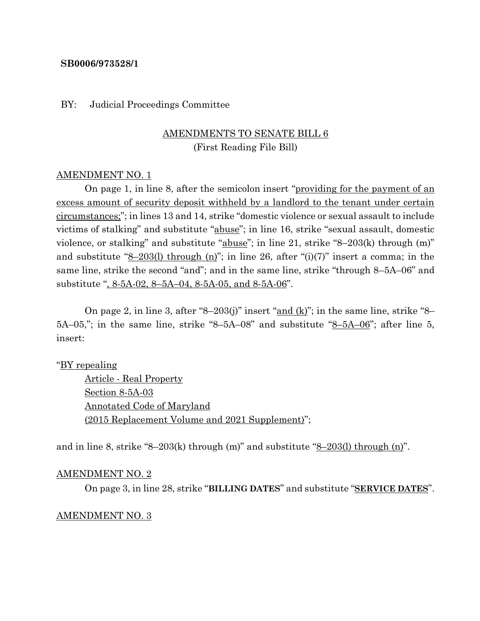#### **SB0006/973528/1**

#### BY: Judicial Proceedings Committee

## AMENDMENTS TO SENATE BILL 6 (First Reading File Bill)

#### AMENDMENT NO. 1

On page 1, in line 8, after the semicolon insert "providing for the payment of an excess amount of security deposit withheld by a landlord to the tenant under certain circumstances;"; in lines 13 and 14, strike "domestic violence or sexual assault to include victims of stalking" and substitute "abuse"; in line 16, strike "sexual assault, domestic violence, or stalking" and substitute "abuse"; in line 21, strike "8–203(k) through (m)" and substitute " $8-203(1)$  through (n)"; in line 26, after "(i)(7)" insert a comma; in the same line, strike the second "and"; and in the same line, strike "through 8–5A–06" and substitute ", 8-5A-02, 8–5A–04, 8-5A-05, and 8-5A-06".

On page 2, in line 3, after "8–203(j)" insert " $\underline{and}$  (k)"; in the same line, strike "8–  $5A-05$ ,"; in the same line, strike "8-5A-08" and substitute " $8-5A-06$ "; after line 5, insert:

#### "BY repealing

Article - Real Property Section 8-5A-03 Annotated Code of Maryland (2015 Replacement Volume and 2021 Supplement)";

and in line 8, strike "8–203(k) through  $(m)$ " and substitute "8–203(l) through  $(n)$ ".

#### AMENDMENT NO. 2

On page 3, in line 28, strike "**BILLING DATES**" and substitute "**SERVICE DATES**".

#### AMENDMENT NO. 3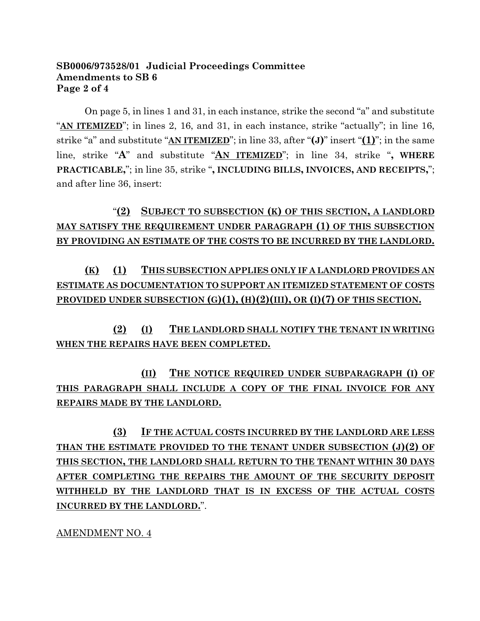## **SB0006/973528/01 Judicial Proceedings Committee Amendments to SB 6 Page 2 of 4**

On page 5, in lines 1 and 31, in each instance, strike the second "a" and substitute "**AN ITEMIZED**"; in lines 2, 16, and 31, in each instance, strike "actually"; in line 16, strike "a" and substitute "**AN ITEMIZED**"; in line 33, after "**(J)**" insert "**(1)**"; in the same line, strike "**A**" and substitute "**AN ITEMIZED**"; in line 34, strike "**, WHERE PRACTICABLE,**"; in line 35, strike "**, INCLUDING BILLS, INVOICES, AND RECEIPTS,**"; and after line 36, insert:

"**(2) SUBJECT TO SUBSECTION (K) OF THIS SECTION, A LANDLORD MAY SATISFY THE REQUIREMENT UNDER PARAGRAPH (1) OF THIS SUBSECTION BY PROVIDING AN ESTIMATE OF THE COSTS TO BE INCURRED BY THE LANDLORD.**

**(K) (1) THIS SUBSECTION APPLIES ONLY IF A LANDLORD PROVIDES AN ESTIMATE AS DOCUMENTATION TO SUPPORT AN ITEMIZED STATEMENT OF COSTS PROVIDED UNDER SUBSECTION (G)(1), (H)(2)(III), OR (I)(7) OF THIS SECTION.**

**(2) (I) THE LANDLORD SHALL NOTIFY THE TENANT IN WRITING WHEN THE REPAIRS HAVE BEEN COMPLETED.**

**(II) THE NOTICE REQUIRED UNDER SUBPARAGRAPH (I) OF THIS PARAGRAPH SHALL INCLUDE A COPY OF THE FINAL INVOICE FOR ANY REPAIRS MADE BY THE LANDLORD.**

**(3) IF THE ACTUAL COSTS INCURRED BY THE LANDLORD ARE LESS THAN THE ESTIMATE PROVIDED TO THE TENANT UNDER SUBSECTION (J)(2) OF THIS SECTION, THE LANDLORD SHALL RETURN TO THE TENANT WITHIN 30 DAYS AFTER COMPLETING THE REPAIRS THE AMOUNT OF THE SECURITY DEPOSIT WITHHELD BY THE LANDLORD THAT IS IN EXCESS OF THE ACTUAL COSTS INCURRED BY THE LANDLORD.**".

AMENDMENT NO. 4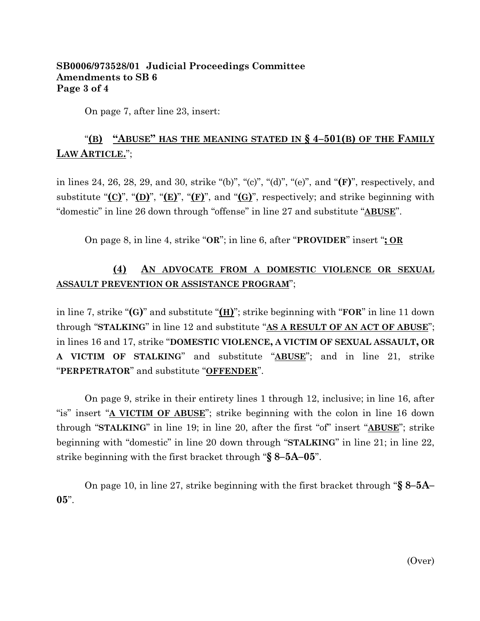### **SB0006/973528/01 Judicial Proceedings Committee Amendments to SB 6 Page 3 of 4**

On page 7, after line 23, insert:

# "**(B) "ABUSE" HAS THE MEANING STATED IN § 4–501(B) OF THE FAMILY LAW ARTICLE.**";

in lines 24, 26, 28, 29, and 30, strike "(b)", "(c)", "(d)", "(e)", and "**(F)**", respectively, and substitute "**(C)**", "**(D)**", "**(E)**", "**(F)**", and "**(G)**", respectively; and strike beginning with "domestic" in line 26 down through "offense" in line 27 and substitute "**ABUSE**".

On page 8, in line 4, strike "**OR**"; in line 6, after "**PROVIDER**" insert "**; OR**

# **(4) AN ADVOCATE FROM A DOMESTIC VIOLENCE OR SEXUAL ASSAULT PREVENTION OR ASSISTANCE PROGRAM**";

in line 7, strike "**(G)**" and substitute "**(H)**"; strike beginning with "**FOR**" in line 11 down through "**STALKING**" in line 12 and substitute "**AS A RESULT OF AN ACT OF ABUSE**"; in lines 16 and 17, strike "**DOMESTIC VIOLENCE, A VICTIM OF SEXUAL ASSAULT, OR A VICTIM OF STALKING**" and substitute "**ABUSE**"; and in line 21, strike "**PERPETRATOR**" and substitute "**OFFENDER**".

On page 9, strike in their entirety lines 1 through 12, inclusive; in line 16, after "is" insert "**A VICTIM OF ABUSE**"; strike beginning with the colon in line 16 down through "**STALKING**" in line 19; in line 20, after the first "of" insert "**ABUSE**"; strike beginning with "domestic" in line 20 down through "**STALKING**" in line 21; in line 22, strike beginning with the first bracket through "**§ 8–5A–05**".

On page 10, in line 27, strike beginning with the first bracket through "**§ 8–5A– 05**".